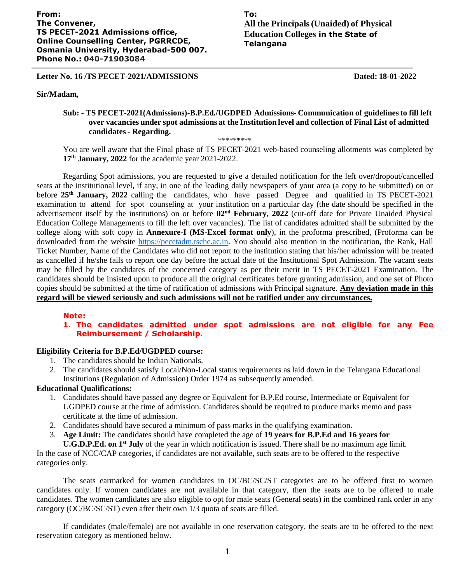# **To: All the Principals(Unaided) of Physical Education Colleges in the State of Telangana**

# **Letter No. 16 /TS PECET-2021/ADMISSIONS Dated: 18-01-2022**

#### **Sir/Madam,**

1

# **Sub: - TS PECET-2021(Admissions)-B.P.Ed./UGDPED Admissions- Communication of guidelinesto fill left over vacancies under spot admissions at the Institution level and collection of Final List of admitted candidates- Regarding.**

\*\*\*\*\*\*\*\*\*

You are well aware that the Final phase of TS PECET-2021 web-based counseling allotments was completed by **17 th January, 2022** for the academic year 2021-2022.

Regarding Spot admissions, you are requested to give a detailed notification for the left over/dropout/cancelled seats at the institutional level, if any, in one of the leading daily newspapers of your area (a copy to be submitted) on or before **25th January, 2022** calling the candidates, who have passed Degree and qualified in TS PECET-2021 examination to attend for spot counseling at your institution on a particular day (the date should be specified in the advertisement itself by the institutions) on or before 02<sup>nd</sup> February, 2022 (cut-off date for Private Unaided Physical Education College Managements to fill the left over vacancies). The list of candidates admitted shall be submitted by the college along with soft copy in **Annexure-I (MS-Excel format only**), in the proforma prescribed, (Proforma can be downloaded from the website [https://pecetadm.tsche.ac.in.](https://pecetadm.tsche.ac.in/) You should also mention in the notification, the Rank, Hall Ticket Number, Name of the Candidates who did not report to the institution stating that his/her admission will be treated as cancelled if he/she fails to report one day before the actual date of the Institutional Spot Admission. The vacant seats may be filled by the candidates of the concerned category as per their merit in TS PECET-2021 Examination. The candidates should be insisted upon to produce all the original certificates before granting admission, and one set of Photo copies should be submitted at the time of ratification of admissions with Principal signature. **Any deviation made in this regard will be viewed seriously and such admissions will not be ratified under any circumstances.**

#### **Note:**

# **1. The candidates admitted under spot admissions are not eligible for any Fee Reimbursement / Scholarship.**

### **Eligibility Criteria for B.P.Ed/UGDPED course:**

- 1. The candidates should be Indian Nationals.
- 2. The candidates should satisfy Local/Non-Local status requirements as laid down in the Telangana Educational Institutions (Regulation of Admission) Order 1974 as subsequently amended.

# **Educational Qualifications:**

- 1. Candidates should have passed any degree or Equivalent for B.P.Ed course, Intermediate or Equivalent for UGDPED course at the time of admission. Candidates should be required to produce marks memo and pass certificate at the time of admission.
- 2. Candidates should have secured a minimum of pass marks in the qualifying examination.
- 3. **Age Limit:** The candidates should have completed the age of **19 years for B.P.Ed and 16 years for**

**U.G.D.P.Ed. on 1 st July** of the year in which notification is issued. There shall be no maximum age limit. In the case of NCC/CAP categories, if candidates are not available, such seats are to be offered to the respective categories only.

The seats earmarked for women candidates in OC/BC/SC/ST categories are to be offered first to women candidates only. If women candidates are not available in that category, then the seats are to be offered to male candidates. The women candidates are also eligible to opt for male seats (General seats) in the combined rank order in any category (OC/BC/SC/ST) even after their own 1/3 quota of seats are filled.

If candidates (male/female) are not available in one reservation category, the seats are to be offered to the next reservation category as mentioned below.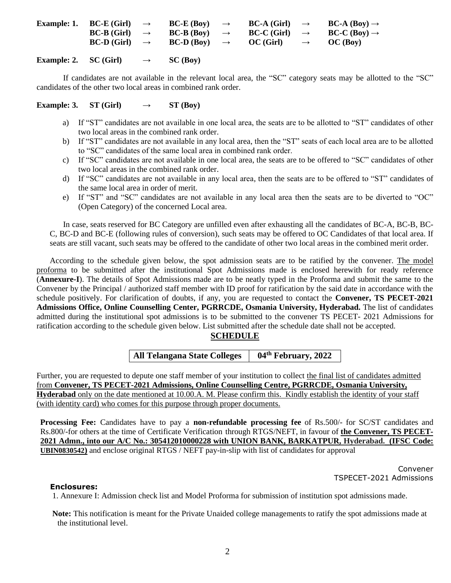| <b>Example: 1.</b> BC-E (Girl) $\rightarrow$ | $BC-E (Boy) \rightarrow$        | <b>BC-A</b> (Girl) | $\longrightarrow$ | $BC-A (Boy) \rightarrow$ |
|----------------------------------------------|---------------------------------|--------------------|-------------------|--------------------------|
| $BC-B$ (Girl) $\rightarrow$                  | <b>BC-B</b> (Boy) $\rightarrow$ | <b>BC-C</b> (Girl) | $\longrightarrow$ | $BC-C (Boy) \rightarrow$ |
| $BC-D$ (Girl) $\rightarrow$                  | $BC-D (Box) \rightarrow$        | OC (Girl)          | $\longrightarrow$ | OC (Box)                 |
|                                              |                                 |                    |                   |                          |

**Example: 2. SC** (Girl)  $\rightarrow$  **SC** (Boy)

If candidates are not available in the relevant local area, the "SC" category seats may be allotted to the "SC" candidates of the other two local areas in combined rank order.

**Example: 3. ST** (Girl)  $\rightarrow$  **ST** (Boy)

- a) If "ST" candidates are not available in one local area, the seats are to be allotted to "ST" candidates of other two local areas in the combined rank order.
- b) If "ST" candidates are not available in any local area, then the "ST" seats of each local area are to be allotted to "SC" candidates of the same local area in combined rank order.
- c) If "SC" candidates are not available in one local area, the seats are to be offered to "SC" candidates of other two local areas in the combined rank order.
- d) If "SC" candidates are not available in any local area, then the seats are to be offered to "ST" candidates of the same local area in order of merit.
- e) If "ST" and "SC" candidates are not available in any local area then the seats are to be diverted to "OC" (Open Category) of the concerned Local area.

In case, seats reserved for BC Category are unfilled even after exhausting all the candidates of BC-A, BC-B, BC-C, BC-D and BC-E (following rules of conversion), such seats may be offered to OC Candidates of that local area. If seats are still vacant, such seats may be offered to the candidate of other two local areas in the combined merit order.

According to the schedule given below, the spot admission seats are to be ratified by the convener. The model proforma to be submitted after the institutional Spot Admissions made is enclosed herewith for ready reference (**Annexure-I**). The details of Spot Admissions made are to be neatly typed in the Proforma and submit the same to the Convener by the Principal / authorized staff member with ID proof for ratification by the said date in accordance with the schedule positively. For clarification of doubts, if any, you are requested to contact the **Convener, TS PECET-2021 Admissions Office, Online Counselling Center, PGRRCDE, Osmania University, Hyderabad.** The list of candidates admitted during the institutional spot admissions is to be submitted to the convener TS PECET- 2021 Admissions for ratification according to the schedule given below. List submitted after the schedule date shall not be accepted.

# **SCHEDULE**

**All Telangana State Colleges 04 th February, 2022**

Further, you are requested to depute one staff member of your institution to collect the final list of candidates admitted from **Convener, TS PECET-2021 Admissions, Online Counselling Centre, PGRRCDE, Osmania University, Hyderabad** only on the date mentioned at 10.00.A. M. Please confirm this. Kindly establish the identity of your staff (with identity card) who comes for this purpose through proper documents.

**Processing Fee:** Candidates have to pay a **non-refundable processing fee** of Rs.500/- for SC/ST candidates and Rs.800/-for others at the time of Certificate Verification through RTGS/NEFT, in favour of **the Convener, TS PECET-2021 Admn., into our A/C No.: 305412010000228 with UNION BANK, BARKATPUR, Hyderabad. (IFSC Code: UBIN0830542)** and enclose original RTGS / NEFT pay-in-slip with list of candidates for approval

> Convener TSPECET-2021 Admissions

#### **Enclosures:**

1. Annexure I: Admission check list and Model Proforma for submission of institution spot admissions made.

**Note:** This notification is meant for the Private Unaided college managements to ratify the spot admissions made at the institutional level.